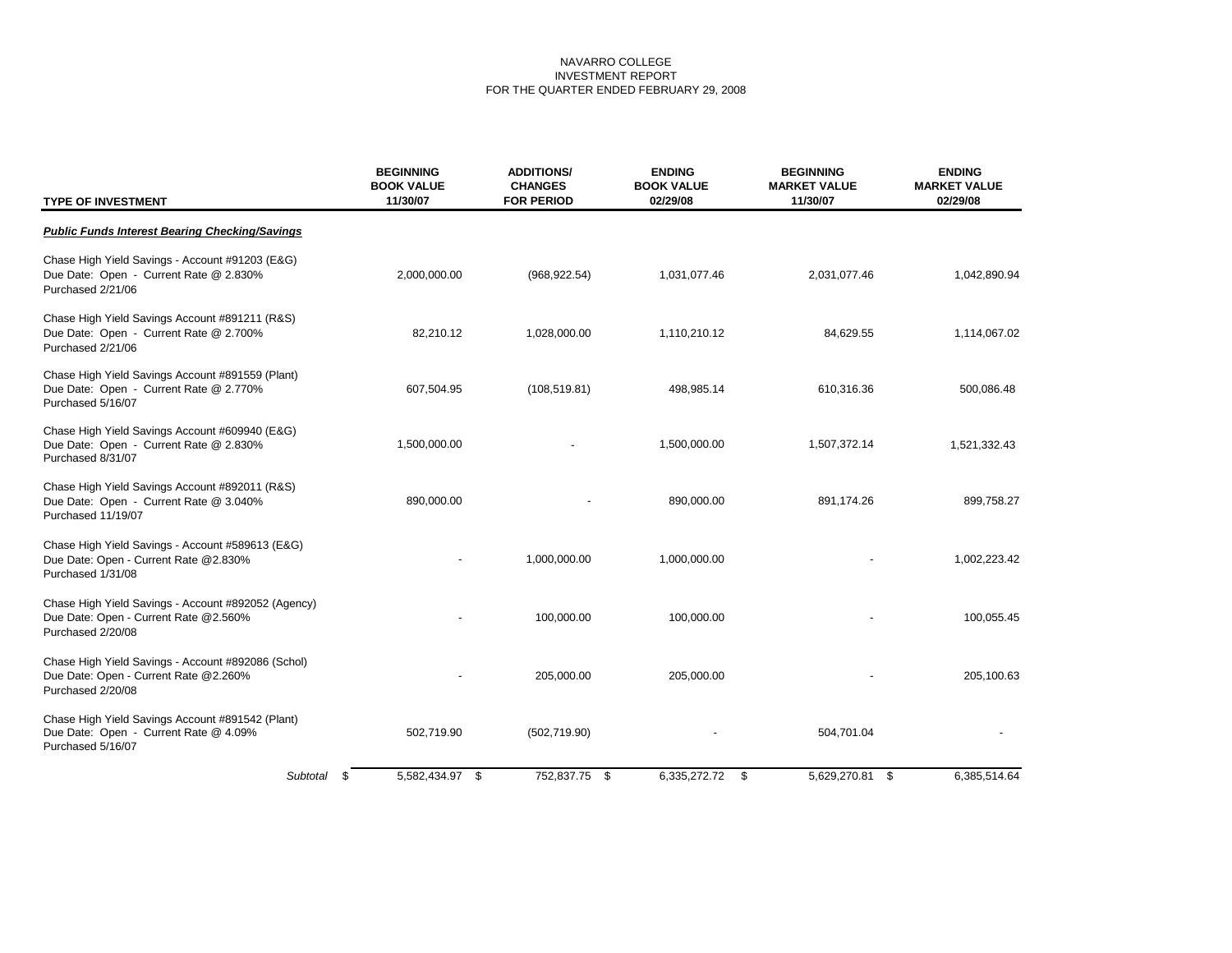| <b>TYPE OF INVESTMENT</b>                                                                                         | <b>BEGINNING</b><br><b>BOOK VALUE</b><br>11/30/07 | <b>ADDITIONS/</b><br><b>CHANGES</b><br><b>FOR PERIOD</b> | <b>ENDING</b><br><b>BOOK VALUE</b><br>02/29/08 | <b>BEGINNING</b><br><b>MARKET VALUE</b><br>11/30/07 | <b>ENDING</b><br><b>MARKET VALUE</b><br>02/29/08 |
|-------------------------------------------------------------------------------------------------------------------|---------------------------------------------------|----------------------------------------------------------|------------------------------------------------|-----------------------------------------------------|--------------------------------------------------|
| <b>Public Funds Interest Bearing Checking/Savings</b>                                                             |                                                   |                                                          |                                                |                                                     |                                                  |
| Chase High Yield Savings - Account #91203 (E&G)<br>Due Date: Open - Current Rate @ 2.830%<br>Purchased 2/21/06    | 2,000,000.00                                      | (968, 922.54)                                            | 1,031,077.46                                   | 2,031,077.46                                        | 1,042,890.94                                     |
| Chase High Yield Savings Account #891211 (R&S)<br>Due Date: Open - Current Rate @ 2.700%<br>Purchased 2/21/06     | 82,210.12                                         | 1,028,000.00                                             | 1,110,210.12                                   | 84,629.55                                           | 1,114,067.02                                     |
| Chase High Yield Savings Account #891559 (Plant)<br>Due Date: Open - Current Rate @ 2.770%<br>Purchased 5/16/07   | 607,504.95                                        | (108, 519.81)                                            | 498,985.14                                     | 610,316.36                                          | 500,086.48                                       |
| Chase High Yield Savings Account #609940 (E&G)<br>Due Date: Open - Current Rate @ 2.830%<br>Purchased 8/31/07     | 1,500,000.00                                      |                                                          | 1,500,000.00                                   | 1,507,372.14                                        | 1,521,332.43                                     |
| Chase High Yield Savings Account #892011 (R&S)<br>Due Date: Open - Current Rate @ 3.040%<br>Purchased 11/19/07    | 890,000.00                                        |                                                          | 890,000.00                                     | 891,174.26                                          | 899,758.27                                       |
| Chase High Yield Savings - Account #589613 (E&G)<br>Due Date: Open - Current Rate @2.830%<br>Purchased 1/31/08    |                                                   | 1,000,000.00                                             | 1,000,000.00                                   |                                                     | 1,002,223.42                                     |
| Chase High Yield Savings - Account #892052 (Agency)<br>Due Date: Open - Current Rate @2.560%<br>Purchased 2/20/08 |                                                   | 100,000.00                                               | 100,000.00                                     |                                                     | 100,055.45                                       |
| Chase High Yield Savings - Account #892086 (Schol)<br>Due Date: Open - Current Rate @2.260%<br>Purchased 2/20/08  |                                                   | 205,000.00                                               | 205,000.00                                     |                                                     | 205,100.63                                       |
| Chase High Yield Savings Account #891542 (Plant)<br>Due Date: Open - Current Rate @ 4.09%<br>Purchased 5/16/07    | 502,719.90                                        | (502, 719.90)                                            |                                                | 504,701.04                                          |                                                  |
| Subtotal                                                                                                          | 5,582,434.97 \$<br>\$                             | 752,837.75 \$                                            | 6,335,272.72 \$                                | 5,629,270.81 \$                                     | 6,385,514.64                                     |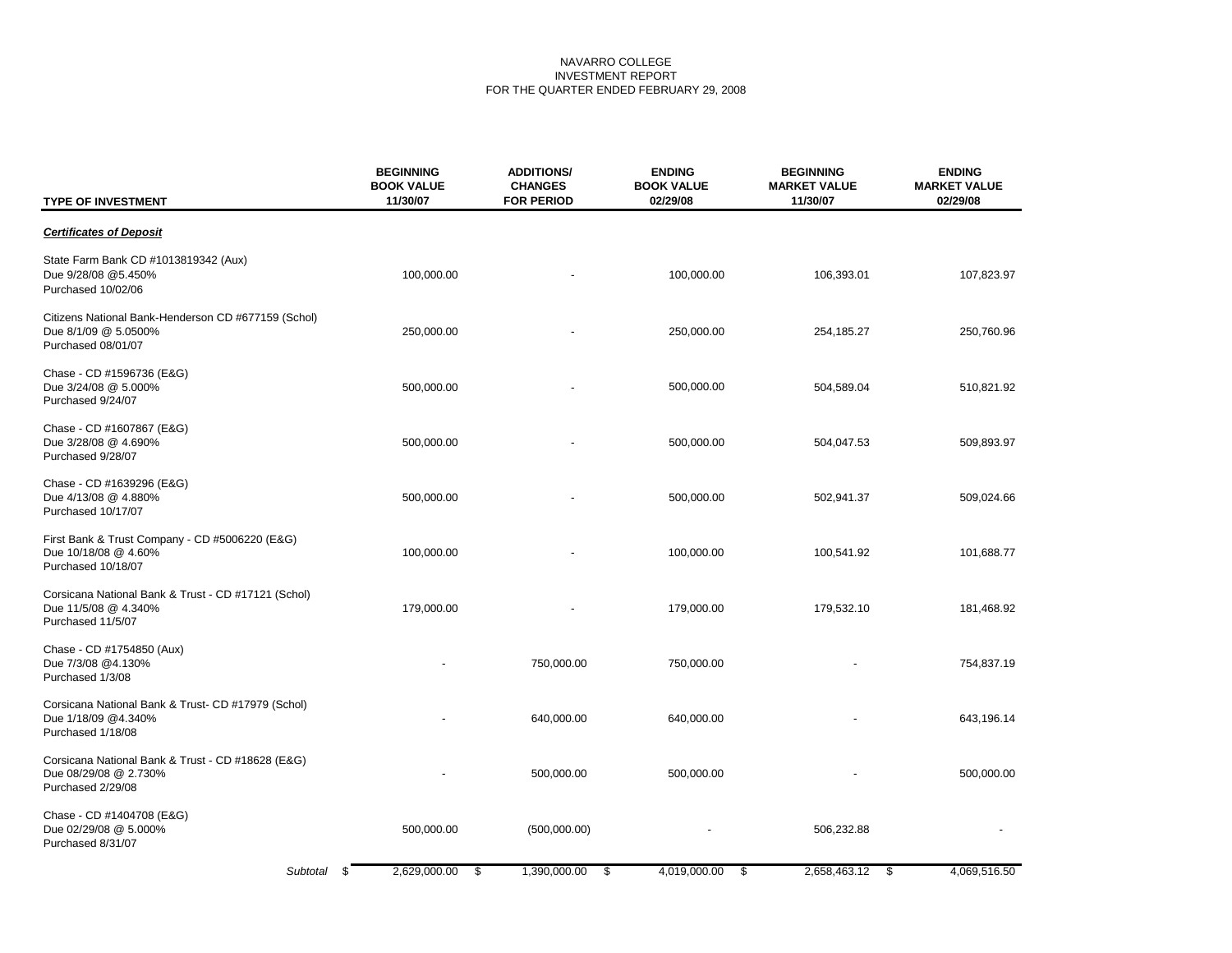| <b>TYPE OF INVESTMENT</b>                                                                         | <b>BEGINNING</b><br><b>BOOK VALUE</b><br>11/30/07 | <b>ADDITIONS/</b><br><b>CHANGES</b><br><b>FOR PERIOD</b> | <b>ENDING</b><br><b>BOOK VALUE</b><br>02/29/08 | <b>BEGINNING</b><br><b>MARKET VALUE</b><br>11/30/07 | <b>ENDING</b><br><b>MARKET VALUE</b><br>02/29/08 |
|---------------------------------------------------------------------------------------------------|---------------------------------------------------|----------------------------------------------------------|------------------------------------------------|-----------------------------------------------------|--------------------------------------------------|
| <b>Certificates of Deposit</b>                                                                    |                                                   |                                                          |                                                |                                                     |                                                  |
| State Farm Bank CD #1013819342 (Aux)<br>Due 9/28/08 @5.450%<br>Purchased 10/02/06                 | 100,000.00                                        |                                                          | 100,000.00                                     | 106,393.01                                          | 107,823.97                                       |
| Citizens National Bank-Henderson CD #677159 (Schol)<br>Due 8/1/09 @ 5.0500%<br>Purchased 08/01/07 | 250,000.00                                        |                                                          | 250,000.00                                     | 254,185.27                                          | 250,760.96                                       |
| Chase - CD #1596736 (E&G)<br>Due 3/24/08 @ 5.000%<br>Purchased 9/24/07                            | 500,000.00                                        |                                                          | 500,000.00                                     | 504,589.04                                          | 510,821.92                                       |
| Chase - CD #1607867 (E&G)<br>Due 3/28/08 @ 4.690%<br>Purchased 9/28/07                            | 500,000.00                                        |                                                          | 500,000.00                                     | 504,047.53                                          | 509,893.97                                       |
| Chase - CD #1639296 (E&G)<br>Due 4/13/08 @ 4.880%<br>Purchased 10/17/07                           | 500,000.00                                        |                                                          | 500,000.00                                     | 502,941.37                                          | 509,024.66                                       |
| First Bank & Trust Company - CD #5006220 (E&G)<br>Due 10/18/08 @ 4.60%<br>Purchased 10/18/07      | 100,000.00                                        |                                                          | 100,000.00                                     | 100,541.92                                          | 101,688.77                                       |
| Corsicana National Bank & Trust - CD #17121 (Schol)<br>Due 11/5/08 @ 4.340%<br>Purchased 11/5/07  | 179,000.00                                        |                                                          | 179,000.00                                     | 179,532.10                                          | 181,468.92                                       |
| Chase - CD #1754850 (Aux)<br>Due 7/3/08 @4.130%<br>Purchased 1/3/08                               |                                                   | 750,000.00                                               | 750,000.00                                     |                                                     | 754,837.19                                       |
| Corsicana National Bank & Trust- CD #17979 (Schol)<br>Due 1/18/09 @4.340%<br>Purchased 1/18/08    |                                                   | 640,000.00                                               | 640,000.00                                     |                                                     | 643,196.14                                       |
| Corsicana National Bank & Trust - CD #18628 (E&G)<br>Due 08/29/08 @ 2.730%<br>Purchased 2/29/08   |                                                   | 500,000.00                                               | 500,000.00                                     |                                                     | 500,000.00                                       |
| Chase - CD #1404708 (E&G)<br>Due 02/29/08 @ 5.000%<br>Purchased 8/31/07                           | 500,000.00                                        | (500,000.00)                                             |                                                | 506,232.88                                          |                                                  |
| Subtotal                                                                                          | 2,629,000.00<br>-\$<br>\$                         | 1,390,000.00<br>\$                                       | 4,019,000.00<br>\$                             | 2,658,463.12<br>-\$                                 | 4,069,516.50                                     |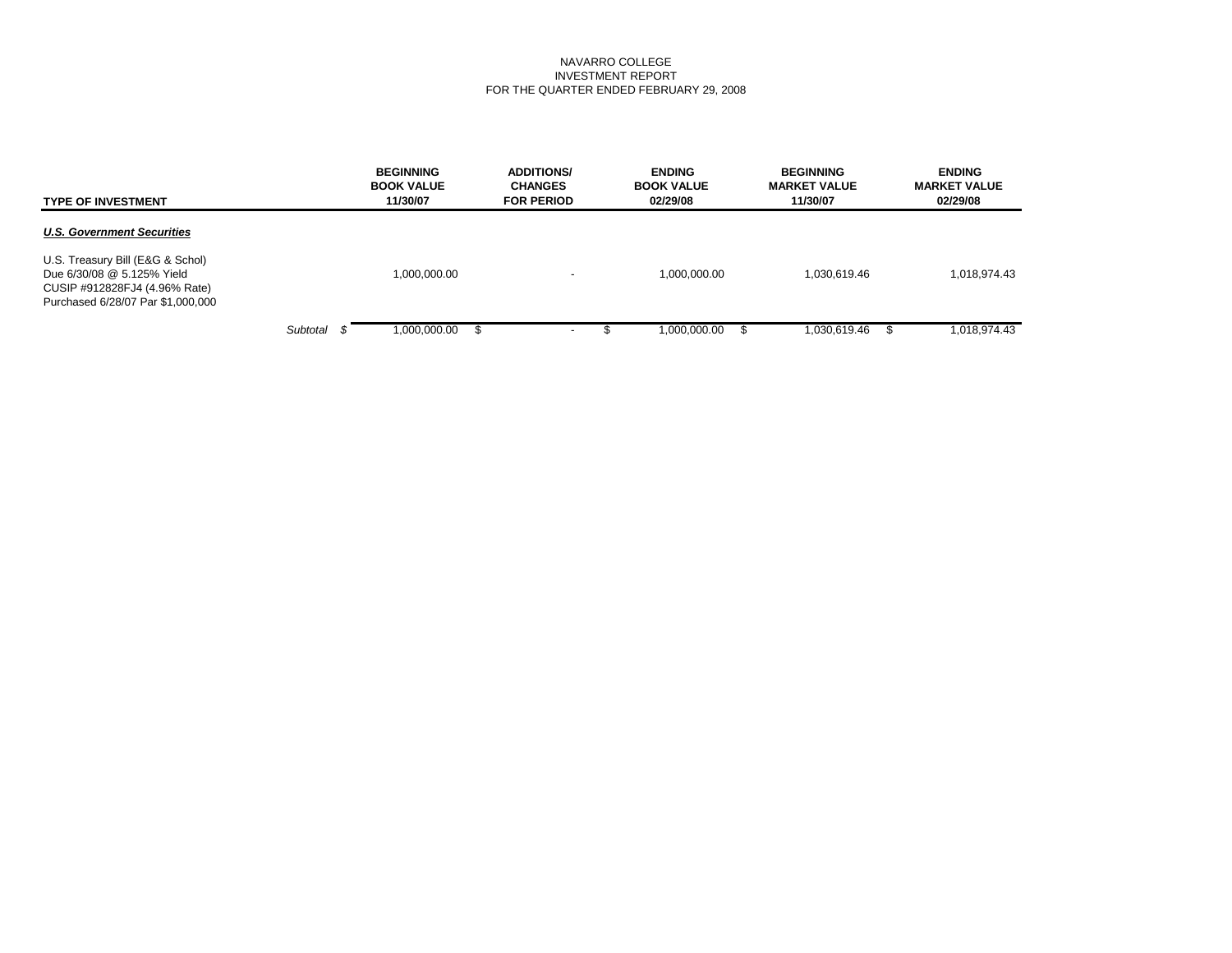| <b>TYPE OF INVESTMENT</b>                                                                                                            |          | <b>BEGINNING</b><br><b>BOOK VALUE</b><br>11/30/07 | <b>ADDITIONS/</b><br><b>CHANGES</b><br><b>FOR PERIOD</b> | <b>ENDING</b><br><b>BOOK VALUE</b><br>02/29/08 | <b>BEGINNING</b><br><b>MARKET VALUE</b><br>11/30/07 | <b>ENDING</b><br><b>MARKET VALUE</b><br>02/29/08 |
|--------------------------------------------------------------------------------------------------------------------------------------|----------|---------------------------------------------------|----------------------------------------------------------|------------------------------------------------|-----------------------------------------------------|--------------------------------------------------|
| <b>U.S. Government Securities</b>                                                                                                    |          |                                                   |                                                          |                                                |                                                     |                                                  |
| U.S. Treasury Bill (E&G & Schol)<br>Due 6/30/08 @ 5.125% Yield<br>CUSIP #912828FJ4 (4.96% Rate)<br>Purchased 6/28/07 Par \$1,000,000 |          | 1,000,000.00                                      | $\overline{\phantom{0}}$                                 | 1,000,000.00                                   | 1,030,619.46                                        | 1,018,974.43                                     |
|                                                                                                                                      | Subtotal | 00.000.000.1                                      | $\sim$                                                   | 1,000,000.00                                   | 1,030,619.46<br>£.                                  | 1,018,974.43                                     |